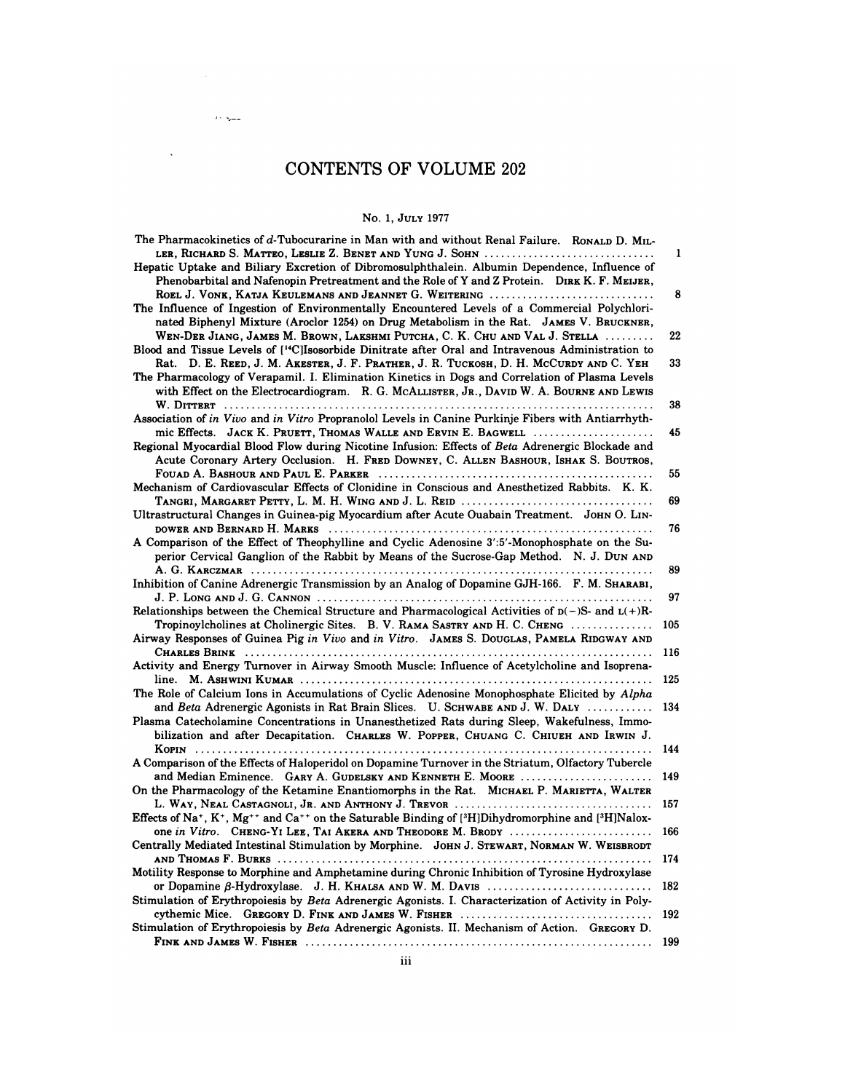# CONTENTS OF VOLUME 202 TS OF VOLUM<br>No. 1, July 1977<br>Man with and without

 $\mathcal{O}(\mathcal{O}(\log\log n))$ 

 $\Delta \sim 10^{11}$ 

| No. 1, JULY 1977                                                                                                                                                                                                                                                                                                                                          |            |
|-----------------------------------------------------------------------------------------------------------------------------------------------------------------------------------------------------------------------------------------------------------------------------------------------------------------------------------------------------------|------------|
| The Pharmacokinetics of d-Tubocurarine in Man with and without Renal Failure. RONALD D. MIL-<br>LER, RICHARD S. MATTEO, LESLIE Z. BENET AND YUNG J. SOHN<br>Hepatic Uptake and Biliary Excretion of Dibromosulphthalein. Albumin Dependence, Influence of<br>Phenobarbital and Nafenopin Pretreatment and the Role of Y and Z Protein. DIRK K. F. MEIJER, | 1          |
| ROEL J. VONK, KATJA KEULEMANS AND JEANNET G. WEITERING<br>The Influence of Ingestion of Environmentally Encountered Levels of a Commercial Polychlori-<br>nated Biphenyl Mixture (Aroclor 1254) on Drug Metabolism in the Rat. JAMES V. BRUCKNER,                                                                                                         | 8          |
| WEN-DER JIANG, JAMES M. BROWN, LAKSHMI PUTCHA, C. K. CHU AND VAL J. STELLA<br>Blood and Tissue Levels of [ <sup>14</sup> C]Isosorbide Dinitrate after Oral and Intravenous Administration to                                                                                                                                                              | 22         |
| Rat. D. E. REED, J. M. AKESTER, J. F. PRATHER, J. R. TUCKOSH, D. H. MCCURDY AND C. YEH<br>The Pharmacology of Verapamil. I. Elimination Kinetics in Dogs and Correlation of Plasma Levels<br>with Effect on the Electrocardiogram. R. G. MCALLISTER, JR., DAVID W. A. BOURNE AND LEWIS                                                                    | 33         |
| Association of in Vivo and in Vitro Propranolol Levels in Canine Purkinje Fibers with Antiarrhyth-                                                                                                                                                                                                                                                        | 38         |
| mic Effects. JACK K. PRUETT, THOMAS WALLE AND ERVIN E. BAGWELL<br>Regional Myocardial Blood Flow during Nicotine Infusion: Effects of Beta Adrenergic Blockade and<br>Acute Coronary Artery Occlusion. H. FRED DOWNEY, C. ALLEN BASHOUR, ISHAK S. BOUTROS,                                                                                                | 45         |
| Mechanism of Cardiovascular Effects of Clonidine in Conscious and Anesthetized Rabbits. K. K.<br>TANGRI, MARGARET PETTY, L. M. H. WING AND J. L. REID                                                                                                                                                                                                     | 55<br>69   |
| Ultrastructural Changes in Guinea-pig Myocardium after Acute Ouabain Treatment. JOHN O. LIN-                                                                                                                                                                                                                                                              | 76         |
| A Comparison of the Effect of Theophylline and Cyclic Adenosine 3':5'-Monophosphate on the Su-<br>perior Cervical Ganglion of the Rabbit by Means of the Sucrose-Gap Method. N. J. DUN AND                                                                                                                                                                | 89         |
| Inhibition of Canine Adrenergic Transmission by an Analog of Dopamine GJH-166. F. M. SHARABI,                                                                                                                                                                                                                                                             | 97         |
| Relationships between the Chemical Structure and Pharmacological Activities of $p(-)S$ - and $L(+)R$ -<br>Tropinoylcholines at Cholinergic Sites. B. V. RAMA SASTRY AND H. C. CHENG<br>Airway Responses of Guinea Pig in Vivo and in Vitro. JAMES S. DOUGLAS, PAMELA RIDGWAY AND                                                                          | 105        |
| Activity and Energy Turnover in Airway Smooth Muscle: Influence of Acetylcholine and Isoprena-                                                                                                                                                                                                                                                            | 116        |
| The Role of Calcium Ions in Accumulations of Cyclic Adenosine Monophosphate Elicited by Alpha                                                                                                                                                                                                                                                             | 125        |
| and Beta Adrenergic Agonists in Rat Brain Slices. U. SCHWABE AND J. W. DALY<br>Plasma Catecholamine Concentrations in Unanesthetized Rats during Sleep, Wakefulness, Immo-<br>bilization and after Decapitation. CHARLES W. POPPER, CHUANG C. CHIUEH AND IRWIN J.                                                                                         | 134        |
| A Comparison of the Effects of Haloperidol on Dopamine Turnover in the Striatum, Olfactory Tubercle                                                                                                                                                                                                                                                       | 144        |
| and Median Eminence. GARY A. GUDELSKY AND KENNETH E. MOORE<br>On the Pharmacology of the Ketamine Enantiomorphs in the Rat. MICHAEL P. MARIETTA, WALTER                                                                                                                                                                                                   | 149        |
| Effects of Na <sup>+</sup> , K <sup>+</sup> , Mg <sup>++</sup> and Ca <sup>++</sup> on the Saturable Binding of [ <sup>3</sup> H]Dihydromorphine and [ <sup>3</sup> H]Nalox-                                                                                                                                                                              | 157        |
| one in Vitro. CHENG-YI LEE, TAI AKERA AND THEODORE M. BRODY<br>Centrally Mediated Intestinal Stimulation by Morphine. JOHN J. STEWART, NORMAN W. WEISBRODT                                                                                                                                                                                                | 166        |
| Motility Response to Morphine and Amphetamine during Chronic Inhibition of Tyrosine Hydroxylase                                                                                                                                                                                                                                                           | 174        |
| or Dopamine $\beta$ -Hydroxylase. J. H. KHALSA AND W. M. DAVIS<br>Stimulation of Erythropoiesis by Beta Adrenergic Agonists. I. Characterization of Activity in Poly-                                                                                                                                                                                     | 182<br>192 |
| Stimulation of Erythropoiesis by Beta Adrenergic Agonists. II. Mechanism of Action. GREGORY D.                                                                                                                                                                                                                                                            | 199        |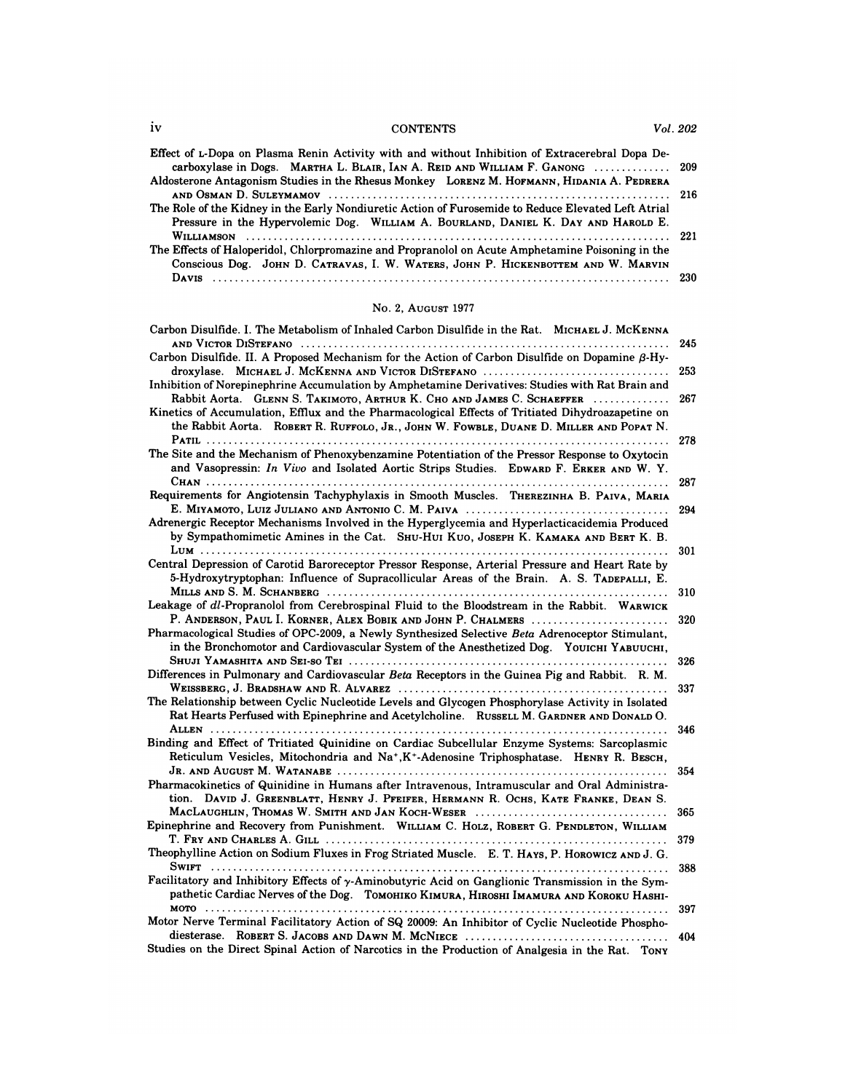| iv | <b>CONTENTS</b>                                                                                     | Vol. 202 |
|----|-----------------------------------------------------------------------------------------------------|----------|
|    |                                                                                                     |          |
|    | Effect of L-Dopa on Plasma Renin Activity with and without Inhibition of Extracerebral Dopa De-     |          |
|    | carboxylase in Dogs. MARTHA L. BLAIR, IAN A. REID AND WILLIAM F. GANONG  209                        |          |
|    | Aldosterone Antagonism Studies in the Rhesus Monkey LORENZ M. HOFMANN, HIDANIA A. PEDRERA           |          |
|    |                                                                                                     | -216     |
|    | The Role of the Kidney in the Early Nondiuretic Action of Furosemide to Reduce Elevated Left Atrial |          |
|    | Pressure in the Hypervolemic Dog. WILLIAM A. BOURLAND, DANIEL K. DAY AND HAROLD E.                  |          |
|    |                                                                                                     |          |
|    | The Effects of Haloperidol, Chlorpromazine and Propranolol on Acute Amphetamine Poisoning in the    |          |
|    | Conscious Dog. JOHN D. CATRAVAS, I. W. WATERS, JOHN P. HICKENBOTTEM AND W. MARVIN                   |          |
|    |                                                                                                     |          |
|    |                                                                                                     | -230     |

# No. 2, AUGUST <sup>1977</sup>

| Davis                                                                                                                                                                                                                                                                                                                          | 230        |
|--------------------------------------------------------------------------------------------------------------------------------------------------------------------------------------------------------------------------------------------------------------------------------------------------------------------------------|------------|
| No. 2, AUGUST 1977                                                                                                                                                                                                                                                                                                             |            |
| Carbon Disulfide. I. The Metabolism of Inhaled Carbon Disulfide in the Rat. MICHAEL J. MCKENNA                                                                                                                                                                                                                                 | 245        |
| Carbon Disulfide. II. A Proposed Mechanism for the Action of Carbon Disulfide on Dopamine $\beta$ -Hy-<br>droxylase. MICHAEL J. MCKENNA AND VICTOR DISTEFANO<br>Inhibition of Norepinephrine Accumulation by Amphetamine Derivatives: Studies with Rat Brain and                                                               | 253        |
| Rabbit Aorta. GLENN S. TAKIMOTO, ARTHUR K. CHO AND JAMES C. SCHAEFFER<br>Kinetics of Accumulation, Efflux and the Pharmacological Effects of Tritiated Dihydroazapetine on<br>the Rabbit Aorta. ROBERT R. RUFFOLO, JR., JOHN W. FOWBLE, DUANE D. MILLER AND POPAT N.                                                           | 267        |
| The Site and the Mechanism of Phenoxybenzamine Potentiation of the Pressor Response to Oxytocin<br>and Vasopressin: In Vivo and Isolated Aortic Strips Studies. EDWARD F. ERKER AND W. Y.                                                                                                                                      | 278        |
| Requirements for Angiotensin Tachyphylaxis in Smooth Muscles. THEREZINHA B. PAIVA, MARIA                                                                                                                                                                                                                                       | 287        |
| Adrenergic Receptor Mechanisms Involved in the Hyperglycemia and Hyperlacticacidemia Produced<br>by Sympathomimetic Amines in the Cat. SHU-HUI KUO, JOSEPH K. KAMAKA AND BERT K. B.                                                                                                                                            | 294        |
| Central Depression of Carotid Baroreceptor Pressor Response, Arterial Pressure and Heart Rate by<br>5-Hydroxytryptophan: Influence of Supracollicular Areas of the Brain. A. S. TADEPALLI, E.                                                                                                                                  | 301        |
| MILLS AND S. M. SCHANBERG (and according to the contract of the main state of the main state of the main state of the state of the main state of the main state of the main state of the main state of the main state of the m<br>Leakage of dl-Propranolol from Cerebrospinal Fluid to the Bloodstream in the Rabbit. WARWICK | 310        |
| P. ANDERSON, PAUL I. KORNER, ALEX BOBIK AND JOHN P. CHALMERS<br>Pharmacological Studies of OPC-2009, a Newly Synthesized Selective Beta Adrenoceptor Stimulant,<br>in the Bronchomotor and Cardiovascular System of the Anesthetized Dog. YOUICHI YABUUCHI,                                                                    | 320        |
| Differences in Pulmonary and Cardiovascular <i>Beta</i> Receptors in the Guinea Pig and Rabbit. R. M.                                                                                                                                                                                                                          | 326<br>337 |
| The Relationship between Cyclic Nucleotide Levels and Glycogen Phosphorylase Activity in Isolated<br>Rat Hearts Perfused with Epinephrine and Acetylcholine. RUSSELL M. GARDNER AND DONALD O.                                                                                                                                  |            |
| Binding and Effect of Tritiated Quinidine on Cardiac Subcellular Enzyme Systems: Sarcoplasmic<br>Reticulum Vesicles, Mitochondria and Na+, K+-Adenosine Triphosphatase. HENRY R. BESCH,                                                                                                                                        | 346        |
| Pharmacokinetics of Quinidine in Humans after Intravenous, Intramuscular and Oral Administra-<br>tion. DAVID J. GREENBLATT, HENRY J. PFEIFER, HERMANN R. OCHS, KATE FRANKE, DEAN S.                                                                                                                                            | 354        |
| MacLaughlin, Thomas W. Smith and Jan Koch-Weser<br>Epinephrine and Recovery from Punishment. WILLIAM C. HOLZ, ROBERT G. PENDLETON, WILLIAM                                                                                                                                                                                     | 365        |
| Theophylline Action on Sodium Fluxes in Frog Striated Muscle. E. T. HAYS, P. HOROWICZ AND J. G.                                                                                                                                                                                                                                | 379        |
| Facilitatory and Inhibitory Effects of y-Aminobutyric Acid on Ganglionic Transmission in the Sym-<br>pathetic Cardiac Nerves of the Dog. Tomohiko Kimura, Hiroshi Imamura and Koroku Hashi-                                                                                                                                    | 388        |
| Motor Nerve Terminal Facilitatory Action of SQ 20009: An Inhibitor of Cyclic Nucleotide Phospho-                                                                                                                                                                                                                               | 397        |
| Studies on the Direct Spinal Action of Narcotics in the Production of Analgesia in the Rat. TONY                                                                                                                                                                                                                               | 404        |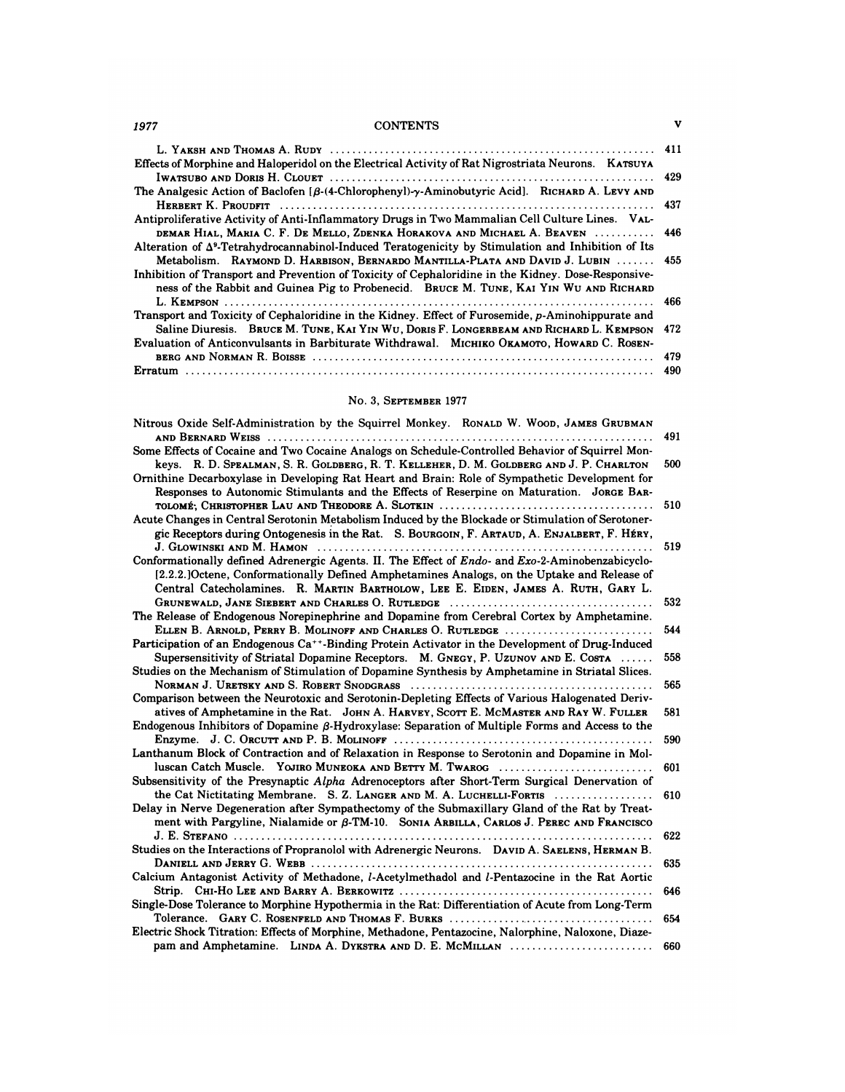# *1977* CONTENTS **V**

| 1977 | <b>CONTENTS</b>                                                                                                 | v   |
|------|-----------------------------------------------------------------------------------------------------------------|-----|
|      |                                                                                                                 |     |
|      | Effects of Morphine and Haloperidol on the Electrical Activity of Rat Nigrostriata Neurons. KATSUYA             |     |
|      |                                                                                                                 |     |
|      | The Analgesic Action of Baclofen [ $\beta$ -(4-Chlorophenyl)- $\gamma$ -Aminobutyric Acid]. RICHARD A. LEVY AND |     |
|      |                                                                                                                 |     |
|      | Antiproliferative Activity of Anti-Inflammatory Drugs in Two Mammalian Cell Culture Lines. VAL-                 |     |
|      | DEMAR HIAL, MARIA C. F. DE MELLO, ZDENKA HORAKOVA AND MICHAEL A. BEAVEN  446                                    |     |
|      | Alteration of $\Delta^9$ -Tetrahydrocannabinol-Induced Teratogenicity by Stimulation and Inhibition of Its      |     |
|      | Metabolism. RAYMOND D. HARBISON, BERNARDO MANTILLA-PLATA AND DAVID J. LUBIN  455                                |     |
|      | Inhibition of Transport and Prevention of Toxicity of Cephaloridine in the Kidney. Dose-Responsive-             |     |
|      | ness of the Rabbit and Guinea Pig to Probenecid. BRUCE M. TUNE, KAI YIN WU AND RICHARD                          |     |
|      |                                                                                                                 | 466 |
|      | Transport and Toxicity of Cephaloridine in the Kidney. Effect of Furosemide, p-Aminohippurate and               |     |
|      | Saline Diuresis. BRUCE M. TUNE, KAI YIN WU, DORIS F. LONGERBEAM AND RICHARD L. KEMPSON 472                      |     |
|      | Evaluation of Anticonvulsants in Barbiturate Withdrawal. MICHIKO OKAMOTO, HOWARD C. ROSEN-                      |     |
|      |                                                                                                                 | 479 |
|      |                                                                                                                 | 490 |

# No. 3, SEPTEMBER 1977

|                                                                                                                                                                                                                                                                                                    | 490        |
|----------------------------------------------------------------------------------------------------------------------------------------------------------------------------------------------------------------------------------------------------------------------------------------------------|------------|
| No. 3. SEPTEMBER 1977                                                                                                                                                                                                                                                                              |            |
| Nitrous Oxide Self-Administration by the Squirrel Monkey. RONALD W. WOOD, JAMES GRUBMAN<br>Some Effects of Cocaine and Two Cocaine Analogs on Schedule-Controlled Behavior of Squirrel Mon-                                                                                                        | 491        |
| keys. R. D. SPEALMAN, S. R. GOLDBERG, R. T. KELLEHER, D. M. GOLDBERG AND J. P. CHARLTON<br>Ornithine Decarboxylase in Developing Rat Heart and Brain: Role of Sympathetic Development for<br>Responses to Autonomic Stimulants and the Effects of Reserpine on Maturation. JORGE BAR-              | 500        |
| Acute Changes in Central Serotonin Metabolism Induced by the Blockade or Stimulation of Serotoner-<br>gic Receptors during Ontogenesis in the Rat. S. BOURGOIN, F. ARTAUD, A. ENJALBERT, F. HÉRY,                                                                                                  | 510        |
| Conformationally defined Adrenergic Agents. II. The Effect of Endo- and Exo-2-Aminobenzabicyclo-<br>[2.2.2.]Octene, Conformationally Defined Amphetamines Analogs, on the Uptake and Release of<br>Central Catecholamines. R. MARTIN BARTHOLOW, LEE E. EIDEN, JAMES A. RUTH, GARY L.               | 519        |
| The Release of Endogenous Norepinephrine and Dopamine from Cerebral Cortex by Amphetamine.                                                                                                                                                                                                         | 532        |
| ELLEN B. ARNOLD, PERRY B. MOLINOFF AND CHARLES O. RUTLEDGE<br>Participation of an Endogenous Ca <sup>++</sup> -Binding Protein Activator in the Development of Drug-Induced<br>Supersensitivity of Striatal Dopamine Receptors. M. GNEGY, P. UZUNOV AND E. COSTA                                   | 544<br>558 |
| Studies on the Mechanism of Stimulation of Dopamine Synthesis by Amphetamine in Striatal Slices.                                                                                                                                                                                                   | 565        |
| Comparison between the Neurotoxic and Serotonin-Depleting Effects of Various Halogenated Deriv-<br>atives of Amphetamine in the Rat. JOHN A. HARVEY, SCOTT E. MCMASTER AND RAY W. FULLER<br>Endogenous Inhibitors of Dopamine $\beta$ -Hydroxylase: Separation of Multiple Forms and Access to the | 581        |
| Lanthanum Block of Contraction and of Relaxation in Response to Serotonin and Dopamine in Mol-                                                                                                                                                                                                     | 590        |
| luscan Catch Muscle. YOJIRO MUNEOKA AND BETTY M. TWAROG<br>Subsensitivity of the Presynaptic Alpha Adrenoceptors after Short-Term Surgical Denervation of                                                                                                                                          | 601        |
| the Cat Nictitating Membrane. S. Z. LANGER AND M. A. LUCHELLI-FORTIS<br>Delay in Nerve Degeneration after Sympathectomy of the Submaxillary Gland of the Rat by Treat-<br>ment with Pargyline, Nialamide or β-TM-10. SONIA ARBILLA, CARLOS J. PEREC AND FRANCISCO                                  | 610        |
| Studies on the Interactions of Propranolol with Adrenergic Neurons. DAVID A. SAELENS, HERMAN B.                                                                                                                                                                                                    | 622        |
| Calcium Antagonist Activity of Methadone, l-Acetylmethadol and l-Pentazocine in the Rat Aortic                                                                                                                                                                                                     | 635<br>646 |
| Single-Dose Tolerance to Morphine Hypothermia in the Rat: Differentiation of Acute from Long-Term                                                                                                                                                                                                  | 654        |
| Electric Shock Titration: Effects of Morphine, Methadone, Pentazocine, Nalorphine, Naloxone, Diaze-<br>pam and Amphetamine. LINDA A. DYKSTRA AND D. E. MCMILLAN                                                                                                                                    | 660        |